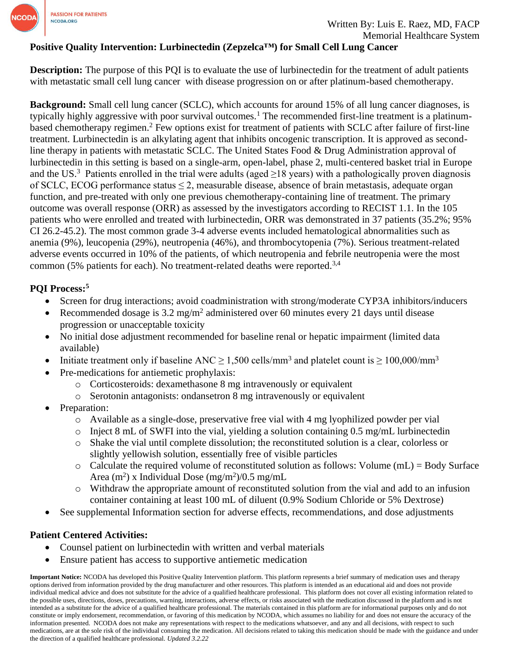

# **Positive Quality Intervention: Lurbinectedin (Zepzelca™) for Small Cell Lung Cancer**

**Description:** The purpose of this PQI is to evaluate the use of lurbinectedin for the treatment of adult patients with metastatic small cell lung cancer with disease progression on or after platinum-based chemotherapy.

**Background:** Small cell lung cancer (SCLC), which accounts for around 15% of all lung cancer diagnoses, is typically highly aggressive with poor survival outcomes.<sup>1</sup> The recommended first-line treatment is a platinumbased chemotherapy regimen.<sup>2</sup> Few options exist for treatment of patients with SCLC after failure of first-line treatment. Lurbinectedin is an alkylating agent that inhibits oncogenic transcription. It is approved as secondline therapy in patients with metastatic SCLC. The United States Food & Drug Administration approval of lurbinectedin in this setting is based on a single-arm, open-label, phase 2, multi-centered basket trial in Europe and the US.<sup>3</sup> Patients enrolled in the trial were adults (aged  $\geq$ 18 years) with a pathologically proven diagnosis of SCLC, ECOG performance status ≤ 2, measurable disease, absence of brain metastasis, adequate organ function, and pre-treated with only one previous chemotherapy-containing line of treatment. The primary outcome was overall response (ORR) as assessed by the investigators according to RECIST 1.1. In the 105 patients who were enrolled and treated with lurbinectedin, ORR was demonstrated in 37 patients (35.2%; 95% CI 26.2-45.2). The most common grade 3-4 adverse events included hematological abnormalities such as anemia (9%), leucopenia (29%), neutropenia (46%), and thrombocytopenia (7%). Serious treatment-related adverse events occurred in 10% of the patients, of which neutropenia and febrile neutropenia were the most common (5% patients for each). No treatment-related deaths were reported.<sup>3,4</sup>

### **PQI Process:<sup>5</sup>**

- Screen for drug interactions; avoid coadministration with strong/moderate CYP3A inhibitors/inducers
- Recommended dosage is  $3.2 \text{ mg/m}^2$  administered over 60 minutes every 21 days until disease progression or unacceptable toxicity
- No initial dose adjustment recommended for baseline renal or hepatic impairment (limited data available)
- Initiate treatment only if baseline ANC  $\geq 1,500$  cells/mm<sup>3</sup> and platelet count is  $\geq 100,000/\text{mm}^3$
- Pre-medications for antiemetic prophylaxis:
	- o Corticosteroids: dexamethasone 8 mg intravenously or equivalent
	- o Serotonin antagonists: ondansetron 8 mg intravenously or equivalent
- Preparation:
	- o Available as a single-dose, preservative free vial with 4 mg lyophilized powder per vial
	- o Inject 8 mL of SWFI into the vial, yielding a solution containing 0.5 mg/mL lurbinectedin
	- o Shake the vial until complete dissolution; the reconstituted solution is a clear, colorless or slightly yellowish solution, essentially free of visible particles
	- $\circ$  Calculate the required volume of reconstituted solution as follows: Volume (mL) = Body Surface Area (m<sup>2</sup>) x Individual Dose (mg/m<sup>2</sup>)/0.5 mg/mL
	- o Withdraw the appropriate amount of reconstituted solution from the vial and add to an infusion container containing at least 100 mL of diluent (0.9% Sodium Chloride or 5% Dextrose)
- See supplemental Information section for adverse effects, recommendations, and dose adjustments

# **Patient Centered Activities:**

- Counsel patient on lurbinectedin with written and verbal materials
- Ensure patient has access to supportive antiemetic medication

**Important Notice:** NCODA has developed this Positive Quality Intervention platform. This platform represents a brief summary of medication uses and therapy options derived from information provided by the drug manufacturer and other resources. This platform is intended as an educational aid and does not provide individual medical advice and does not substitute for the advice of a qualified healthcare professional. This platform does not cover all existing information related to the possible uses, directions, doses, precautions, warning, interactions, adverse effects, or risks associated with the medication discussed in the platform and is not intended as a substitute for the advice of a qualified healthcare professional. The materials contained in this platform are for informational purposes only and do not constitute or imply endorsement, recommendation, or favoring of this medication by NCODA, which assumes no liability for and does not ensure the accuracy of the information presented. NCODA does not make any representations with respect to the medications whatsoever, and any and all decisions, with respect to such medications, are at the sole risk of the individual consuming the medication. All decisions related to taking this medication should be made with the guidance and under the direction of a qualified healthcare professional. *Updated 3.2.22*